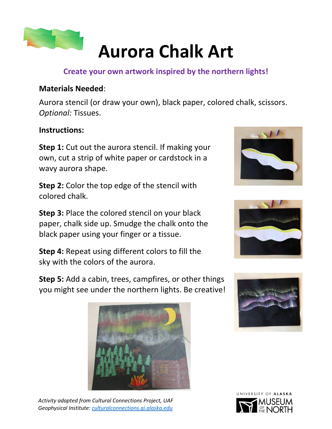

# **Aurora Chalk Art**

### **Create your own artwork inspired by the northern lights!**

### **Materials Needed**:

Aurora stencil (or draw your own), black paper, colored chalk, scissors. *Optional:* Tissues.

#### **Instructions:**

**Step 1:** Cut out the aurora stencil. If making your own, cut a strip of white paper or cardstock in a wavy aurora shape.

**Step 2:** Color the top edge of the stencil with colored chalk.

**Step 3:** Place the colored stencil on your black paper, chalk side up. Smudge the chalk onto the black paper using your finger or a tissue.

**Step 4:** Repeat using different colors to fill the sky with the colors of the aurora.





**Step 5:** Add a cabin, trees, campfires, or other things you might see under the northern lights. Be creative!



*Activity adapted from Cultural Connections Project, UAF Geophysical Institute: [culturalconnections.gi.alaska.edu](https://culturalconnections.gi.alaska.edu/)*



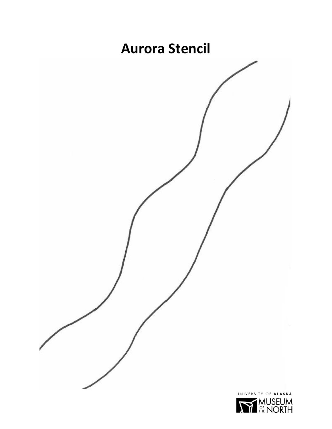